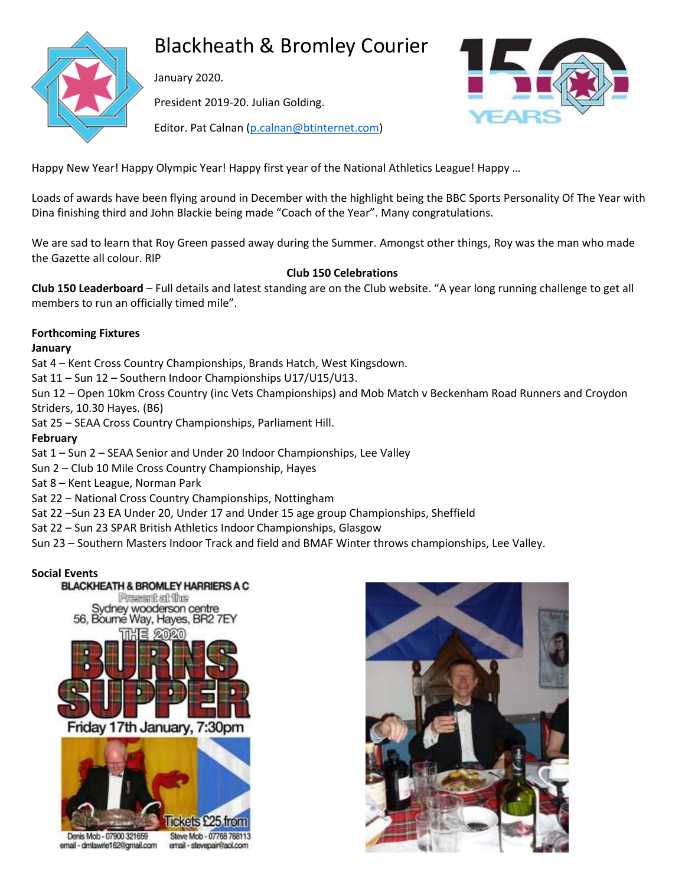

# Blackheath & Bromley Courier

January 2020.

President 2019-20. Julian Golding.



Editor. Pat Calnan [\(p.calnan@btinternet.com\)](mailto:p.calnan@btinternet.com)

Happy New Year! Happy Olympic Year! Happy first year of the National Athletics League! Happy …

Loads of awards have been flying around in December with the highlight being the BBC Sports Personality Of The Year with Dina finishing third and John Blackie being made "Coach of the Year". Many congratulations.

We are sad to learn that Roy Green passed away during the Summer. Amongst other things, Roy was the man who made the Gazette all colour. RIP

# **Club 150 Celebrations**

**Club 150 Leaderboard** – Full details and latest standing are on the Club website. "A year long running challenge to get all members to run an officially timed mile".

# **Forthcoming Fixtures**

## **January**

Sat 4 – Kent Cross Country Championships, Brands Hatch, West Kingsdown.

Sat 11 – Sun 12 – Southern Indoor Championships U17/U15/U13.

Sun 12 – Open 10km Cross Country (inc Vets Championships) and Mob Match v Beckenham Road Runners and Croydon Striders, 10.30 Hayes. (B6)

Sat 25 – SEAA Cross Country Championships, Parliament Hill.

# **February**

Sat 1 – Sun 2 – SEAA Senior and Under 20 Indoor Championships, Lee Valley

Sun 2 – Club 10 Mile Cross Country Championship, Hayes

Sat 8 – Kent League, Norman Park

Sat 22 – National Cross Country Championships, Nottingham

Sat 22 –Sun 23 EA Under 20, Under 17 and Under 15 age group Championships, Sheffield

Sat 22 – Sun 23 SPAR British Athletics Indoor Championships, Glasgow

Sun 23 – Southern Masters Indoor Track and field and BMAF Winter throws championships, Lee Valley.

# **Social Events**





Denis Mob - 07900 321659 email - dmlawrie162@gmail.com

Steve Mob - 07768 768113 email - stevepair@aol.com

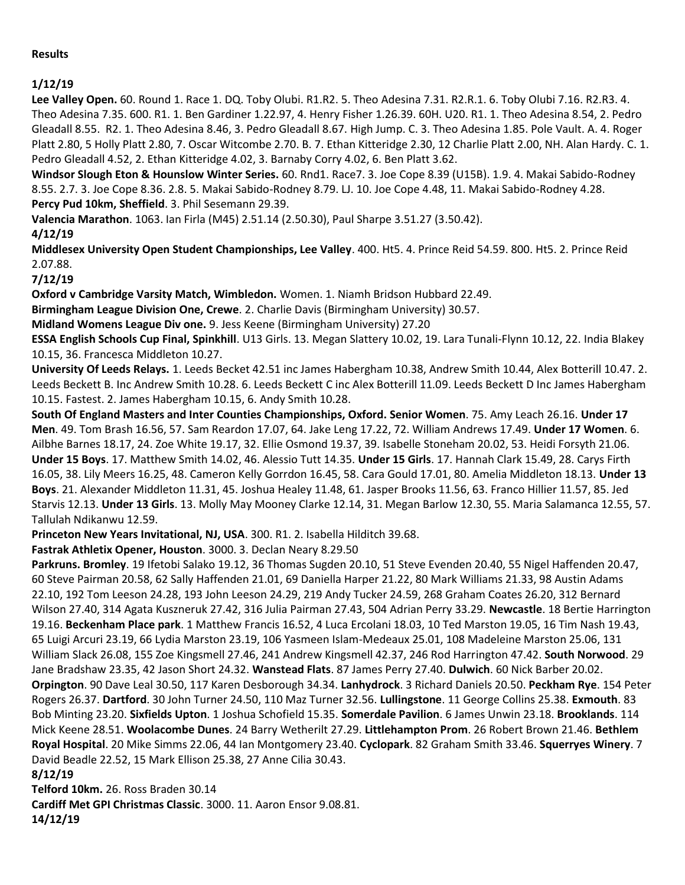### **Results**

# **1/12/19**

**Lee Valley Open.** 60. Round 1. Race 1. DQ. Toby Olubi. R1.R2. 5. Theo Adesina 7.31. R2.R.1. 6. Toby Olubi 7.16. R2.R3. 4. Theo Adesina 7.35. 600. R1. 1. Ben Gardiner 1.22.97, 4. Henry Fisher 1.26.39. 60H. U20. R1. 1. Theo Adesina 8.54, 2. Pedro Gleadall 8.55. R2. 1. Theo Adesina 8.46, 3. Pedro Gleadall 8.67. High Jump. C. 3. Theo Adesina 1.85. Pole Vault. A. 4. Roger Platt 2.80, 5 Holly Platt 2.80, 7. Oscar Witcombe 2.70. B. 7. Ethan Kitteridge 2.30, 12 Charlie Platt 2.00, NH. Alan Hardy. C. 1. Pedro Gleadall 4.52, 2. Ethan Kitteridge 4.02, 3. Barnaby Corry 4.02, 6. Ben Platt 3.62.

**Windsor Slough Eton & Hounslow Winter Series.** 60. Rnd1. Race7. 3. Joe Cope 8.39 (U15B). 1.9. 4. Makai Sabido-Rodney 8.55. 2.7. 3. Joe Cope 8.36. 2.8. 5. Makai Sabido-Rodney 8.79. LJ. 10. Joe Cope 4.48, 11. Makai Sabido-Rodney 4.28. **Percy Pud 10km, Sheffield**. 3. Phil Sesemann 29.39.

**Valencia Marathon**. 1063. Ian Firla (M45) 2.51.14 (2.50.30), Paul Sharpe 3.51.27 (3.50.42).

**4/12/19**

**Middlesex University Open Student Championships, Lee Valley**. 400. Ht5. 4. Prince Reid 54.59. 800. Ht5. 2. Prince Reid 2.07.88.

**7/12/19**

**Oxford v Cambridge Varsity Match, Wimbledon.** Women. 1. Niamh Bridson Hubbard 22.49.

**Birmingham League Division One, Crewe**. 2. Charlie Davis (Birmingham University) 30.57.

**Midland Womens League Div one.** 9. Jess Keene (Birmingham University) 27.20

**ESSA English Schools Cup Final, Spinkhill**. U13 Girls. 13. Megan Slattery 10.02, 19. Lara Tunali-Flynn 10.12, 22. India Blakey 10.15, 36. Francesca Middleton 10.27.

**University Of Leeds Relays.** 1. Leeds Becket 42.51 inc James Habergham 10.38, Andrew Smith 10.44, Alex Botterill 10.47. 2. Leeds Beckett B. Inc Andrew Smith 10.28. 6. Leeds Beckett C inc Alex Botterill 11.09. Leeds Beckett D Inc James Habergham 10.15. Fastest. 2. James Habergham 10.15, 6. Andy Smith 10.28.

**South Of England Masters and Inter Counties Championships, Oxford. Senior Women**. 75. Amy Leach 26.16. **Under 17 Men**. 49. Tom Brash 16.56, 57. Sam Reardon 17.07, 64. Jake Leng 17.22, 72. William Andrews 17.49. **Under 17 Women**. 6. Ailbhe Barnes 18.17, 24. Zoe White 19.17, 32. Ellie Osmond 19.37, 39. Isabelle Stoneham 20.02, 53. Heidi Forsyth 21.06. **Under 15 Boys**. 17. Matthew Smith 14.02, 46. Alessio Tutt 14.35. **Under 15 Girls**. 17. Hannah Clark 15.49, 28. Carys Firth 16.05, 38. Lily Meers 16.25, 48. Cameron Kelly Gorrdon 16.45, 58. Cara Gould 17.01, 80. Amelia Middleton 18.13. **Under 13 Boys**. 21. Alexander Middleton 11.31, 45. Joshua Healey 11.48, 61. Jasper Brooks 11.56, 63. Franco Hillier 11.57, 85. Jed Starvis 12.13. **Under 13 Girls**. 13. Molly May Mooney Clarke 12.14, 31. Megan Barlow 12.30, 55. Maria Salamanca 12.55, 57. Tallulah Ndikanwu 12.59.

**Princeton New Years Invitational, NJ, USA**. 300. R1. 2. Isabella Hilditch 39.68.

**Fastrak Athletix Opener, Houston**. 3000. 3. Declan Neary 8.29.50

**Parkruns. Bromley**. 19 Ifetobi Salako 19.12, 36 Thomas Sugden 20.10, 51 Steve Evenden 20.40, 55 Nigel Haffenden 20.47, 60 Steve Pairman 20.58, 62 Sally Haffenden 21.01, 69 Daniella Harper 21.22, 80 Mark Williams 21.33, 98 Austin Adams 22.10, 192 Tom Leeson 24.28, 193 John Leeson 24.29, 219 Andy Tucker 24.59, 268 Graham Coates 26.20, 312 Bernard Wilson 27.40, 314 Agata Kuszneruk 27.42, 316 Julia Pairman 27.43, 504 Adrian Perry 33.29. **Newcastle**. 18 Bertie Harrington 19.16. **Beckenham Place park**. 1 Matthew Francis 16.52, 4 Luca Ercolani 18.03, 10 Ted Marston 19.05, 16 Tim Nash 19.43, 65 Luigi Arcuri 23.19, 66 Lydia Marston 23.19, 106 Yasmeen Islam-Medeaux 25.01, 108 Madeleine Marston 25.06, 131 William Slack 26.08, 155 Zoe Kingsmell 27.46, 241 Andrew Kingsmell 42.37, 246 Rod Harrington 47.42. **South Norwood**. 29 Jane Bradshaw 23.35, 42 Jason Short 24.32. **Wanstead Flats**. 87 James Perry 27.40. **Dulwich**. 60 Nick Barber 20.02. **Orpington**. 90 Dave Leal 30.50, 117 Karen Desborough 34.34. **Lanhydrock**. 3 Richard Daniels 20.50. **Peckham Rye**. 154 Peter Rogers 26.37. **Dartford**. 30 John Turner 24.50, 110 Maz Turner 32.56. **Lullingstone**. 11 George Collins 25.38. **Exmouth**. 83 Bob Minting 23.20. **Sixfields Upton**. 1 Joshua Schofield 15.35. **Somerdale Pavilion**. 6 James Unwin 23.18. **Brooklands**. 114 Mick Keene 28.51. **Woolacombe Dunes**. 24 Barry Wetherilt 27.29. **Littlehampton Prom**. 26 Robert Brown 21.46. **Bethlem Royal Hospital**. 20 Mike Simms 22.06, 44 Ian Montgomery 23.40. **Cyclopark**. 82 Graham Smith 33.46. **Squerryes Winery**. 7 David Beadle 22.52, 15 Mark Ellison 25.38, 27 Anne Cilia 30.43.

**8/12/19**

**Telford 10km.** 26. Ross Braden 30.14

**Cardiff Met GPI Christmas Classic**. 3000. 11. Aaron Ensor 9.08.81.

**14/12/19**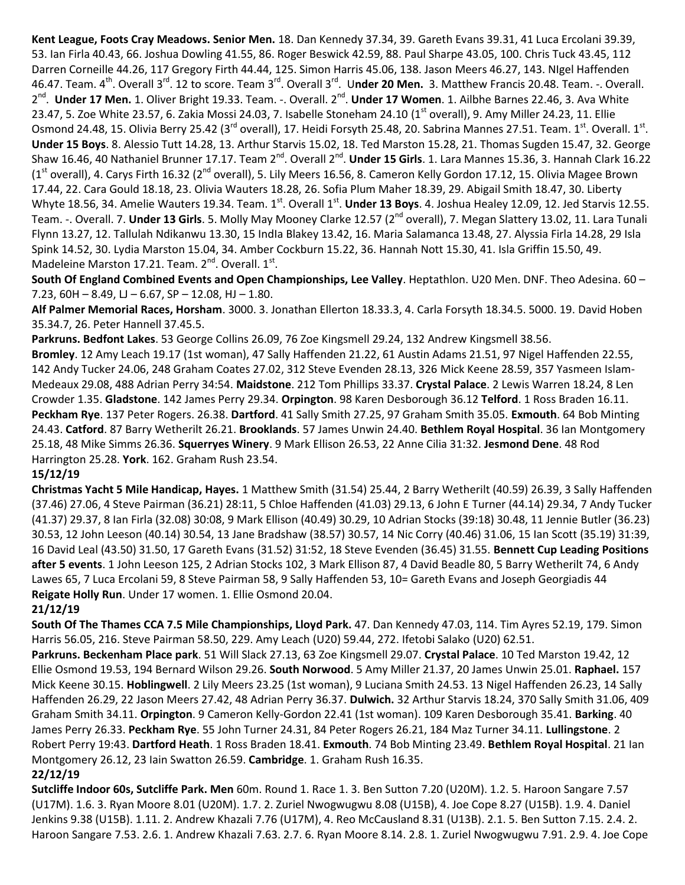**Kent League, Foots Cray Meadows. Senior Men.** 18. Dan Kennedy 37.34, 39. Gareth Evans 39.31, 41 Luca Ercolani 39.39, 53. Ian Firla 40.43, 66. Joshua Dowling 41.55, 86. Roger Beswick 42.59, 88. Paul Sharpe 43.05, 100. Chris Tuck 43.45, 112 Darren Corneille 44.26, 117 Gregory Firth 44.44, 125. Simon Harris 45.06, 138. Jason Meers 46.27, 143. NIgel Haffenden 46.47. Team. 4<sup>th</sup>. Overall 3<sup>rd</sup>. 12 to score. Team 3<sup>rd</sup>. Overall 3<sup>rd</sup>. U**nder 20 Men.** 3. Matthew Francis 20.48. Team. -. Overall. 2<sup>nd</sup>. Under 17 Men. 1. Oliver Bright 19.33. Team. -. Overall. 2<sup>nd</sup>. Under 17 Women. 1. Ailbhe Barnes 22.46, 3. Ava White 23.47, 5. Zoe White 23.57, 6. Zakia Mossi 24.03, 7. Isabelle Stoneham 24.10 (1<sup>st</sup> overall), 9. Amy Miller 24.23, 11. Ellie Osmond 24.48, 15. Olivia Berry 25.42 (3<sup>rd</sup> overall), 17. Heidi Forsyth 25.48, 20. Sabrina Mannes 27.51. Team. 1<sup>st</sup>. Overall. 1<sup>st</sup>. **Under 15 Boys**. 8. Alessio Tutt 14.28, 13. Arthur Starvis 15.02, 18. Ted Marston 15.28, 21. Thomas Sugden 15.47, 32. George Shaw 16.46, 40 Nathaniel Brunner 17.17. Team 2<sup>nd</sup>. Overall 2<sup>nd</sup>. **Under 15 Girls**. 1. Lara Mannes 15.36, 3. Hannah Clark 16.22  $(1<sup>st</sup>$  overall), 4. Carys Firth 16.32 ( $2<sup>nd</sup>$  overall), 5. Lily Meers 16.56, 8. Cameron Kelly Gordon 17.12, 15. Olivia Magee Brown 17.44, 22. Cara Gould 18.18, 23. Olivia Wauters 18.28, 26. Sofia Plum Maher 18.39, 29. Abigail Smith 18.47, 30. Liberty Whyte 18.56, 34. Amelie Wauters 19.34. Team. 1<sup>st</sup>. Overall 1<sup>st</sup>. **Under 13 Boys**. 4. Joshua Healey 12.09, 12. Jed Starvis 12.55. Team. -. Overall. 7. **Under 13 Girls**. 5. Molly May Mooney Clarke 12.57 (2<sup>nd</sup> overall), 7. Megan Slattery 13.02, 11. Lara Tunali Flynn 13.27, 12. Tallulah Ndikanwu 13.30, 15 IndIa Blakey 13.42, 16. Maria Salamanca 13.48, 27. Alyssia Firla 14.28, 29 Isla Spink 14.52, 30. Lydia Marston 15.04, 34. Amber Cockburn 15.22, 36. Hannah Nott 15.30, 41. Isla Griffin 15.50, 49. Madeleine Marston 17.21. Team. 2<sup>nd</sup>. Overall. 1<sup>st</sup>.

**South Of England Combined Events and Open Championships, Lee Valley**. Heptathlon. U20 Men. DNF. Theo Adesina. 60 – 7.23, 60H - 8.49, LJ - 6.67, SP - 12.08, HJ - 1.80.

**Alf Palmer Memorial Races, Horsham**. 3000. 3. Jonathan Ellerton 18.33.3, 4. Carla Forsyth 18.34.5. 5000. 19. David Hoben 35.34.7, 26. Peter Hannell 37.45.5.

**Parkruns. Bedfont Lakes**. 53 George Collins 26.09, 76 Zoe Kingsmell 29.24, 132 Andrew Kingsmell 38.56.

**Bromley**. 12 Amy Leach 19.17 (1st woman), 47 Sally Haffenden 21.22, 61 Austin Adams 21.51, 97 Nigel Haffenden 22.55, 142 Andy Tucker 24.06, 248 Graham Coates 27.02, 312 Steve Evenden 28.13, 326 Mick Keene 28.59, 357 Yasmeen Islam-Medeaux 29.08, 488 Adrian Perry 34:54. **Maidstone**. 212 Tom Phillips 33.37. **Crystal Palace**. 2 Lewis Warren 18.24, 8 Len Crowder 1.35. **Gladstone**. 142 James Perry 29.34. **Orpington**. 98 Karen Desborough 36.12 **Telford**. 1 Ross Braden 16.11. **Peckham Rye**. 137 Peter Rogers. 26.38. **Dartford**. 41 Sally Smith 27.25, 97 Graham Smith 35.05. **Exmouth**. 64 Bob Minting 24.43. **Catford**. 87 Barry Wetherilt 26.21. **Brooklands**. 57 James Unwin 24.40. **Bethlem Royal Hospital**. 36 Ian Montgomery 25.18, 48 Mike Simms 26.36. **Squerryes Winery**. 9 Mark Ellison 26.53, 22 Anne Cilia 31:32. **Jesmond Dene**. 48 Rod Harrington 25.28. **York**. 162. Graham Rush 23.54.

# **15/12/19**

**Christmas Yacht 5 Mile Handicap, Hayes.** 1 Matthew Smith (31.54) 25.44, 2 Barry Wetherilt (40.59) 26.39, 3 Sally Haffenden (37.46) 27.06, 4 Steve Pairman (36.21) 28:11, 5 Chloe Haffenden (41.03) 29.13, 6 John E Turner (44.14) 29.34, 7 Andy Tucker (41.37) 29.37, 8 Ian Firla (32.08) 30:08, 9 Mark Ellison (40.49) 30.29, 10 Adrian Stocks (39:18) 30.48, 11 Jennie Butler (36.23) 30.53, 12 John Leeson (40.14) 30.54, 13 Jane Bradshaw (38.57) 30.57, 14 Nic Corry (40.46) 31.06, 15 Ian Scott (35.19) 31:39, 16 David Leal (43.50) 31.50, 17 Gareth Evans (31.52) 31:52, 18 Steve Evenden (36.45) 31.55. **Bennett Cup Leading Positions after 5 events**. 1 John Leeson 125, 2 Adrian Stocks 102, 3 Mark Ellison 87, 4 David Beadle 80, 5 Barry Wetherilt 74, 6 Andy Lawes 65, 7 Luca Ercolani 59, 8 Steve Pairman 58, 9 Sally Haffenden 53, 10= Gareth Evans and Joseph Georgiadis 44 **Reigate Holly Run**. Under 17 women. 1. Ellie Osmond 20.04.

# **21/12/19**

**South Of The Thames CCA 7.5 Mile Championships, Lloyd Park.** 47. Dan Kennedy 47.03, 114. Tim Ayres 52.19, 179. Simon Harris 56.05, 216. Steve Pairman 58.50, 229. Amy Leach (U20) 59.44, 272. Ifetobi Salako (U20) 62.51.

**Parkruns. Beckenham Place park**. 51 Will Slack 27.13, 63 Zoe Kingsmell 29.07. **Crystal Palace**. 10 Ted Marston 19.42, 12 Ellie Osmond 19.53, 194 Bernard Wilson 29.26. **South Norwood**. 5 Amy Miller 21.37, 20 James Unwin 25.01. **Raphael.** 157 Mick Keene 30.15. **Hoblingwell**. 2 Lily Meers 23.25 (1st woman), 9 Luciana Smith 24.53. 13 Nigel Haffenden 26.23, 14 Sally Haffenden 26.29, 22 Jason Meers 27.42, 48 Adrian Perry 36.37. **Dulwich.** 32 Arthur Starvis 18.24, 370 Sally Smith 31.06, 409 Graham Smith 34.11. **Orpington**. 9 Cameron Kelly-Gordon 22.41 (1st woman). 109 Karen Desborough 35.41. **Barking**. 40 James Perry 26.33. **Peckham Rye**. 55 John Turner 24.31, 84 Peter Rogers 26.21, 184 Maz Turner 34.11. **Lullingstone**. 2 Robert Perry 19:43. **Dartford Heath**. 1 Ross Braden 18.41. **Exmouth**. 74 Bob Minting 23.49. **Bethlem Royal Hospital**. 21 Ian Montgomery 26.12, 23 Iain Swatton 26.59. **Cambridge**. 1. Graham Rush 16.35.

# **22/12/19**

**Sutcliffe Indoor 60s, Sutcliffe Park. Men** 60m. Round 1. Race 1. 3. Ben Sutton 7.20 (U20M). 1.2. 5. Haroon Sangare 7.57 (U17M). 1.6. 3. Ryan Moore 8.01 (U20M). 1.7. 2. Zuriel Nwogwugwu 8.08 (U15B), 4. Joe Cope 8.27 (U15B). 1.9. 4. Daniel Jenkins 9.38 (U15B). 1.11. 2. Andrew Khazali 7.76 (U17M), 4. Reo McCausland 8.31 (U13B). 2.1. 5. Ben Sutton 7.15. 2.4. 2. Haroon Sangare 7.53. 2.6. 1. Andrew Khazali 7.63. 2.7. 6. Ryan Moore 8.14. 2.8. 1. Zuriel Nwogwugwu 7.91. 2.9. 4. Joe Cope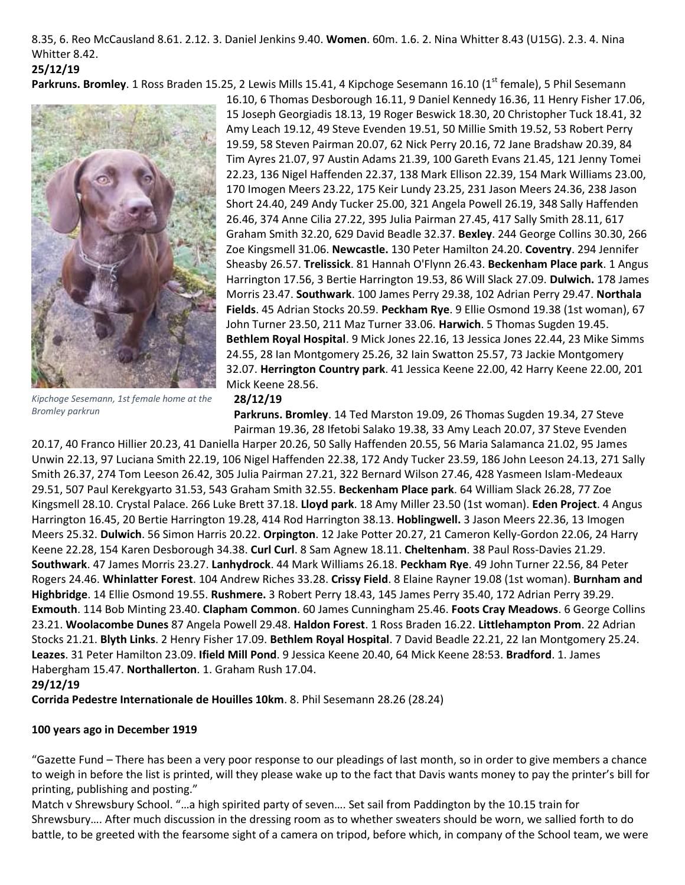8.35, 6. Reo McCausland 8.61. 2.12. 3. Daniel Jenkins 9.40. **Women**. 60m. 1.6. 2. Nina Whitter 8.43 (U15G). 2.3. 4. Nina Whitter 8.42. **25/12/19**

**Parkruns. Bromley**. 1 Ross Braden 15.25, 2 Lewis Mills 15.41, 4 Kipchoge Sesemann 16.10 (1<sup>st</sup> female), 5 Phil Sesemann



16.10, 6 Thomas Desborough 16.11, 9 Daniel Kennedy 16.36, 11 Henry Fisher 17.06, 15 Joseph Georgiadis 18.13, 19 Roger Beswick 18.30, 20 Christopher Tuck 18.41, 32 Amy Leach 19.12, 49 Steve Evenden 19.51, 50 Millie Smith 19.52, 53 Robert Perry 19.59, 58 Steven Pairman 20.07, 62 Nick Perry 20.16, 72 Jane Bradshaw 20.39, 84 Tim Ayres 21.07, 97 Austin Adams 21.39, 100 Gareth Evans 21.45, 121 Jenny Tomei 22.23, 136 Nigel Haffenden 22.37, 138 Mark Ellison 22.39, 154 Mark Williams 23.00, 170 Imogen Meers 23.22, 175 Keir Lundy 23.25, 231 Jason Meers 24.36, 238 Jason Short 24.40, 249 Andy Tucker 25.00, 321 Angela Powell 26.19, 348 Sally Haffenden 26.46, 374 Anne Cilia 27.22, 395 Julia Pairman 27.45, 417 Sally Smith 28.11, 617 Graham Smith 32.20, 629 David Beadle 32.37. **Bexley**. 244 George Collins 30.30, 266 Zoe Kingsmell 31.06. **Newcastle.** 130 Peter Hamilton 24.20. **Coventry**. 294 Jennifer Sheasby 26.57. **Trelissick**. 81 Hannah O'Flynn 26.43. **Beckenham Place park**. 1 Angus Harrington 17.56, 3 Bertie Harrington 19.53, 86 Will Slack 27.09. **Dulwich.** 178 James Morris 23.47. **Southwark**. 100 James Perry 29.38, 102 Adrian Perry 29.47. **Northala Fields**. 45 Adrian Stocks 20.59. **Peckham Rye**. 9 Ellie Osmond 19.38 (1st woman), 67 John Turner 23.50, 211 Maz Turner 33.06. **Harwich**. 5 Thomas Sugden 19.45. **Bethlem Royal Hospital**. 9 Mick Jones 22.16, 13 Jessica Jones 22.44, 23 Mike Simms 24.55, 28 Ian Montgomery 25.26, 32 Iain Swatton 25.57, 73 Jackie Montgomery 32.07. **Herrington Country park**. 41 Jessica Keene 22.00, 42 Harry Keene 22.00, 201 Mick Keene 28.56.

*Kipchoge Sesemann, 1st female home at the Bromley parkrun*

# **28/12/19**

**Parkruns. Bromley**. 14 Ted Marston 19.09, 26 Thomas Sugden 19.34, 27 Steve Pairman 19.36, 28 Ifetobi Salako 19.38, 33 Amy Leach 20.07, 37 Steve Evenden

20.17, 40 Franco Hillier 20.23, 41 Daniella Harper 20.26, 50 Sally Haffenden 20.55, 56 Maria Salamanca 21.02, 95 James Unwin 22.13, 97 Luciana Smith 22.19, 106 Nigel Haffenden 22.38, 172 Andy Tucker 23.59, 186 John Leeson 24.13, 271 Sally Smith 26.37, 274 Tom Leeson 26.42, 305 Julia Pairman 27.21, 322 Bernard Wilson 27.46, 428 Yasmeen Islam-Medeaux 29.51, 507 Paul Kerekgyarto 31.53, 543 Graham Smith 32.55. **Beckenham Place park**. 64 William Slack 26.28, 77 Zoe Kingsmell 28.10. Crystal Palace. 266 Luke Brett 37.18. **Lloyd park**. 18 Amy Miller 23.50 (1st woman). **Eden Project**. 4 Angus Harrington 16.45, 20 Bertie Harrington 19.28, 414 Rod Harrington 38.13. **Hoblingwell.** 3 Jason Meers 22.36, 13 Imogen Meers 25.32. **Dulwich**. 56 Simon Harris 20.22. **Orpington**. 12 Jake Potter 20.27, 21 Cameron Kelly-Gordon 22.06, 24 Harry Keene 22.28, 154 Karen Desborough 34.38. **Curl Curl**. 8 Sam Agnew 18.11. **Cheltenham**. 38 Paul Ross-Davies 21.29. **Southwark**. 47 James Morris 23.27. **Lanhydrock**. 44 Mark Williams 26.18. **Peckham Rye**. 49 John Turner 22.56, 84 Peter Rogers 24.46. **Whinlatter Forest**. 104 Andrew Riches 33.28. **Crissy Field**. 8 Elaine Rayner 19.08 (1st woman). **Burnham and Highbridge**. 14 Ellie Osmond 19.55. **Rushmere.** 3 Robert Perry 18.43, 145 James Perry 35.40, 172 Adrian Perry 39.29. **Exmouth**. 114 Bob Minting 23.40. **Clapham Common**. 60 James Cunningham 25.46. **Foots Cray Meadows**. 6 George Collins 23.21. **Woolacombe Dunes** 87 Angela Powell 29.48. **Haldon Forest**. 1 Ross Braden 16.22. **Littlehampton Prom**. 22 Adrian Stocks 21.21. **Blyth Links**. 2 Henry Fisher 17.09. **Bethlem Royal Hospital**. 7 David Beadle 22.21, 22 Ian Montgomery 25.24. **Leazes**. 31 Peter Hamilton 23.09. **Ifield Mill Pond**. 9 Jessica Keene 20.40, 64 Mick Keene 28:53. **Bradford**. 1. James Habergham 15.47. **Northallerton**. 1. Graham Rush 17.04.

#### **29/12/19**

**Corrida Pedestre Internationale de Houilles 10km**. 8. Phil Sesemann 28.26 (28.24)

#### **100 years ago in December 1919**

"Gazette Fund – There has been a very poor response to our pleadings of last month, so in order to give members a chance to weigh in before the list is printed, will they please wake up to the fact that Davis wants money to pay the printer's bill for printing, publishing and posting."

Match v Shrewsbury School. "…a high spirited party of seven…. Set sail from Paddington by the 10.15 train for Shrewsbury…. After much discussion in the dressing room as to whether sweaters should be worn, we sallied forth to do battle, to be greeted with the fearsome sight of a camera on tripod, before which, in company of the School team, we were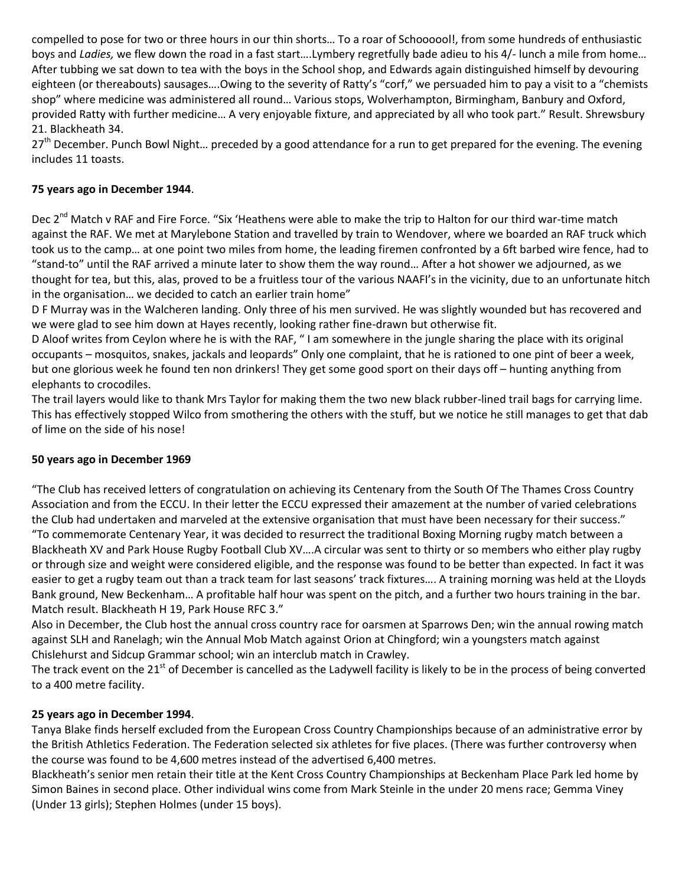compelled to pose for two or three hours in our thin shorts… To a roar of Schoooool!, from some hundreds of enthusiastic boys and *Ladies,* we flew down the road in a fast start….Lymbery regretfully bade adieu to his 4/- lunch a mile from home… After tubbing we sat down to tea with the boys in the School shop, and Edwards again distinguished himself by devouring eighteen (or thereabouts) sausages….Owing to the severity of Ratty's "corf," we persuaded him to pay a visit to a "chemists shop" where medicine was administered all round… Various stops, Wolverhampton, Birmingham, Banbury and Oxford, provided Ratty with further medicine… A very enjoyable fixture, and appreciated by all who took part." Result. Shrewsbury 21. Blackheath 34.

27<sup>th</sup> December. Punch Bowl Night... preceded by a good attendance for a run to get prepared for the evening. The evening includes 11 toasts.

# **75 years ago in December 1944**.

Dec 2<sup>nd</sup> Match v RAF and Fire Force. "Six 'Heathens were able to make the trip to Halton for our third war-time match against the RAF. We met at Marylebone Station and travelled by train to Wendover, where we boarded an RAF truck which took us to the camp… at one point two miles from home, the leading firemen confronted by a 6ft barbed wire fence, had to "stand-to" until the RAF arrived a minute later to show them the way round… After a hot shower we adjourned, as we thought for tea, but this, alas, proved to be a fruitless tour of the various NAAFI's in the vicinity, due to an unfortunate hitch in the organisation… we decided to catch an earlier train home"

D F Murray was in the Walcheren landing. Only three of his men survived. He was slightly wounded but has recovered and we were glad to see him down at Hayes recently, looking rather fine-drawn but otherwise fit.

D Aloof writes from Ceylon where he is with the RAF, " I am somewhere in the jungle sharing the place with its original occupants – mosquitos, snakes, jackals and leopards" Only one complaint, that he is rationed to one pint of beer a week, but one glorious week he found ten non drinkers! They get some good sport on their days off – hunting anything from elephants to crocodiles.

The trail layers would like to thank Mrs Taylor for making them the two new black rubber-lined trail bags for carrying lime. This has effectively stopped Wilco from smothering the others with the stuff, but we notice he still manages to get that dab of lime on the side of his nose!

#### **50 years ago in December 1969**

"The Club has received letters of congratulation on achieving its Centenary from the South Of The Thames Cross Country Association and from the ECCU. In their letter the ECCU expressed their amazement at the number of varied celebrations the Club had undertaken and marveled at the extensive organisation that must have been necessary for their success." "To commemorate Centenary Year, it was decided to resurrect the traditional Boxing Morning rugby match between a Blackheath XV and Park House Rugby Football Club XV….A circular was sent to thirty or so members who either play rugby or through size and weight were considered eligible, and the response was found to be better than expected. In fact it was easier to get a rugby team out than a track team for last seasons' track fixtures…. A training morning was held at the Lloyds Bank ground, New Beckenham… A profitable half hour was spent on the pitch, and a further two hours training in the bar. Match result. Blackheath H 19, Park House RFC 3."

Also in December, the Club host the annual cross country race for oarsmen at Sparrows Den; win the annual rowing match against SLH and Ranelagh; win the Annual Mob Match against Orion at Chingford; win a youngsters match against Chislehurst and Sidcup Grammar school; win an interclub match in Crawley.

The track event on the 21<sup>st</sup> of December is cancelled as the Ladywell facility is likely to be in the process of being converted to a 400 metre facility.

#### **25 years ago in December 1994**.

Tanya Blake finds herself excluded from the European Cross Country Championships because of an administrative error by the British Athletics Federation. The Federation selected six athletes for five places. (There was further controversy when the course was found to be 4,600 metres instead of the advertised 6,400 metres.

Blackheath's senior men retain their title at the Kent Cross Country Championships at Beckenham Place Park led home by Simon Baines in second place. Other individual wins come from Mark Steinle in the under 20 mens race; Gemma Viney (Under 13 girls); Stephen Holmes (under 15 boys).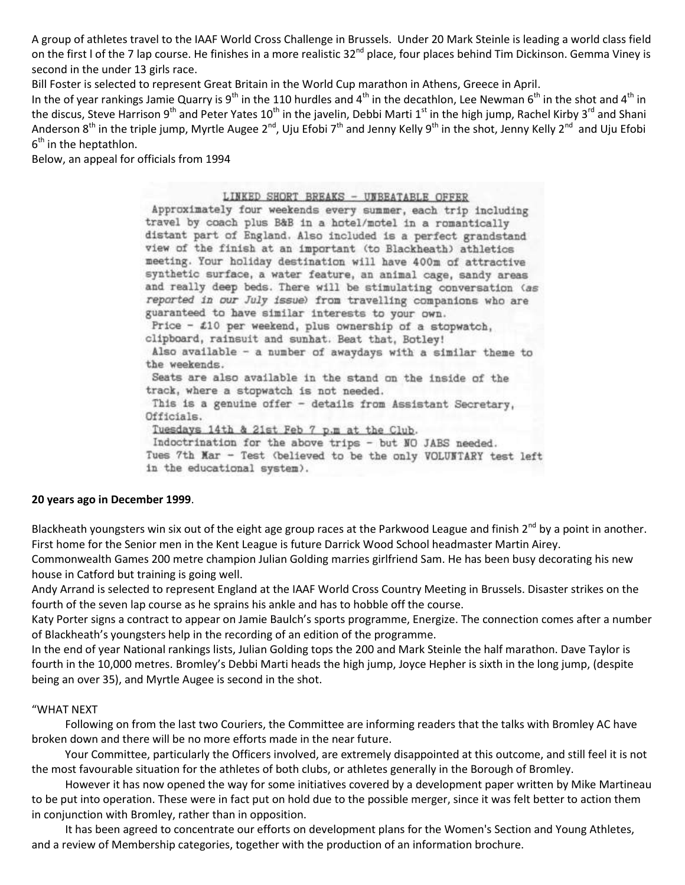A group of athletes travel to the IAAF World Cross Challenge in Brussels. Under 20 Mark Steinle is leading a world class field on the first I of the 7 lap course. He finishes in a more realistic 32<sup>nd</sup> place, four places behind Tim Dickinson. Gemma Viney is second in the under 13 girls race.

Bill Foster is selected to represent Great Britain in the World Cup marathon in Athens, Greece in April.

In the of year rankings Jamie Quarry is 9<sup>th</sup> in the 110 hurdles and 4<sup>th</sup> in the decathlon, Lee Newman 6<sup>th</sup> in the shot and 4<sup>th</sup> in the discus, Steve Harrison 9<sup>th</sup> and Peter Yates 10<sup>th</sup> in the javelin, Debbi Marti 1<sup>st</sup> in the high jump, Rachel Kirby 3<sup>rd</sup> and Shani Anderson 8<sup>th</sup> in the triple jump, Myrtle Augee 2<sup>nd</sup>, Uju Efobi 7<sup>th</sup> and Jenny Kelly 9<sup>th</sup> in the shot, Jenny Kelly 2<sup>nd</sup> and Uju Efobi 6<sup>th</sup> in the heptathlon.

Below, an appeal for officials from 1994

#### LINKED SHORT BREAKS - UNBEATABLE OFFER

Approximately four weekends every summer, each trip including travel by coach plus B&B in a hotel/motel in a romantically distant part of England. Also included is a perfect grandstand view of the finish at an important (to Blackheath) athletics meeting. Your holiday destination will have 400m of attractive synthetic surface, a water feature, an animal cage, sandy areas and really deep beds. There will be stimulating conversation (as reported in our July issue) from travelling companions who are guaranteed to have similar interests to your own. Price -  $\pounds10$  per weekend, plus ownership of a stopwatch, clipboard, rainsuit and sunhat. Beat that, Botley! Also available - a number of awaydays with a similar theme to the weekends. Seats are also available in the stand on the inside of the track, where a stopwatch is not needed. This is a genuine offer - details from Assistant Secretary, Officials. Tuesdays 14th & 21st Feb 7 p.m at the Club. Indoctrination for the above trips - but NO JABS needed. Tues 7th Mar - Test (believed to be the only VOLUNTARY test left in the educational system).

#### **20 years ago in December 1999**.

Blackheath youngsters win six out of the eight age group races at the Parkwood League and finish  $2^{nd}$  by a point in another. First home for the Senior men in the Kent League is future Darrick Wood School headmaster Martin Airey. Commonwealth Games 200 metre champion Julian Golding marries girlfriend Sam. He has been busy decorating his new

house in Catford but training is going well.

Andy Arrand is selected to represent England at the IAAF World Cross Country Meeting in Brussels. Disaster strikes on the fourth of the seven lap course as he sprains his ankle and has to hobble off the course.

Katy Porter signs a contract to appear on Jamie Baulch's sports programme, Energize. The connection comes after a number of Blackheath's youngsters help in the recording of an edition of the programme.

In the end of year National rankings lists, Julian Golding tops the 200 and Mark Steinle the half marathon. Dave Taylor is fourth in the 10,000 metres. Bromley's Debbi Marti heads the high jump, Joyce Hepher is sixth in the long jump, (despite being an over 35), and Myrtle Augee is second in the shot.

#### "WHAT NEXT

 Following on from the last two Couriers, the Committee are informing readers that the talks with Bromley AC have broken down and there will be no more efforts made in the near future.

 Your Committee, particularly the Officers involved, are extremely disappointed at this outcome, and still feel it is not the most favourable situation for the athletes of both clubs, or athletes generally in the Borough of Bromley.

 However it has now opened the way for some initiatives covered by a development paper written by Mike Martineau to be put into operation. These were in fact put on hold due to the possible merger, since it was felt better to action them in conjunction with Bromley, rather than in opposition.

 It has been agreed to concentrate our efforts on development plans for the Women's Section and Young Athletes, and a review of Membership categories, together with the production of an information brochure.